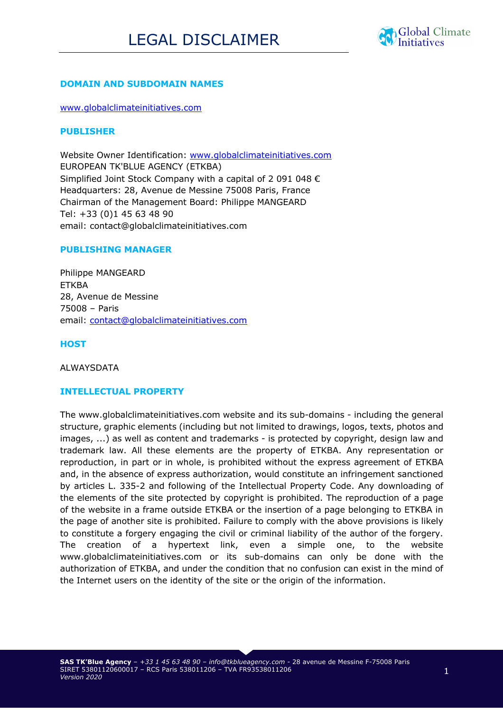

## **DOMAIN AND SUBDOMAIN NAMES**

www.globalclimateinitiatives.com

### **PUBLISHER**

Website Owner Identification: www.globalclimateinitiatives.com EUROPEAN TK'BLUE AGENCY (ETKBA) Simplified Joint Stock Company with a capital of 2 091 048 € Headquarters: 28, Avenue de Messine 75008 Paris, France Chairman of the Management Board: Philippe MANGEARD Tel: +33 (0)1 45 63 48 90 email: contact@globalclimateinitiatives.com

### **PUBLISHING MANAGER**

Philippe MANGEARD ETKBA 28, Avenue de Messine 75008 – Paris email: contact@globalclimateinitiatives.com

**HOST**

**ALWAYSDATA** 

# **INTELLECTUAL PROPERTY**

The www.globalclimateinitiatives.com website and its sub-domains - including the general structure, graphic elements (including but not limited to drawings, logos, texts, photos and images, ...) as well as content and trademarks - is protected by copyright, design law and trademark law. All these elements are the property of ETKBA. Any representation or reproduction, in part or in whole, is prohibited without the express agreement of ETKBA and, in the absence of express authorization, would constitute an infringement sanctioned by articles L. 335-2 and following of the Intellectual Property Code. Any downloading of the elements of the site protected by copyright is prohibited. The reproduction of a page of the website in a frame outside ETKBA or the insertion of a page belonging to ETKBA in the page of another site is prohibited. Failure to comply with the above provisions is likely to constitute a forgery engaging the civil or criminal liability of the author of the forgery. The creation of a hypertext link, even a simple one, to the website www.globalclimateinitiatives.com or its sub-domains can only be done with the authorization of ETKBA, and under the condition that no confusion can exist in the mind of the Internet users on the identity of the site or the origin of the information.